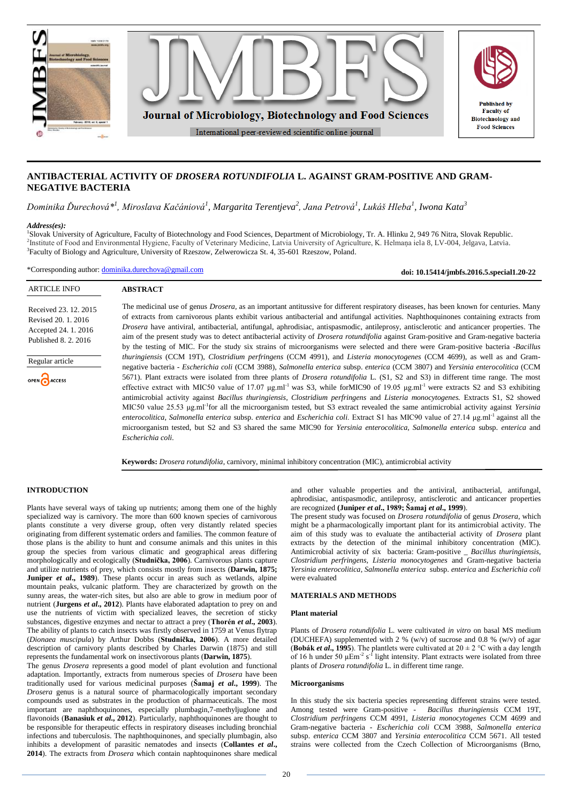

# **ANTIBACTERIAL ACTIVITY OF** *DROSERA ROTUNDIFOLIA* **L. AGAINST GRAM-POSITIVE AND GRAM-NEGATIVE BACTERIA**

# *Dominika Ďurechová\*<sup>1</sup> , Miroslava Kačániová<sup>1</sup> , Margarita Terentjeva<sup>2</sup> , Jana Petrová<sup>1</sup> , Lukáš Hleba<sup>1</sup> , Iwona Kata<sup>3</sup>*

### *Address(es):*

1 Slovak University of Agriculture, Faculty of Biotechnology and Food Sciences, Department of Microbiology, Tr. A. Hlinku 2, 949 76 Nitra, Slovak Republic. 2 Institute of Food and Environmental Hygiene, Faculty of Veterinary Medicine, Latvia University of Agriculture, K. Helmaņa iela 8, LV-004, Jelgava, Latvia. 3 Faculty of Biology and Agriculture, University of Rzeszow, Zelwerowicza St. 4, 35-601 Rzeszow, Poland.

\*Corresponding author: [dominika.durechova@gmail.com](mailto:dominika.durechova@gmail.com)

**doi: 10.15414/jmbfs.2016.5.special1.20-22**

# ARTICLE INFO

# **ABSTRACT**

Received 23. 12. 2015 Revised 20. 1. 2016 Accepted 24. 1. 2016 Published 8. 2. 2016



OPEN CACCESS

The medicinal use of genus *Drosera,* as an important antitussive for different respiratory diseases*,* has been known for centuries. Many of extracts from carnivorous plants exhibit various antibacterial and antifungal activities. Naphthoquinones containing extracts from *Drosera* have antiviral, antibacterial, antifungal, aphrodisiac, antispasmodic, antileprosy, antisclerotic and anticancer properties. The aim of the present study was to detect antibacterial activity of *Drosera rotundifolia* against Gram-positive and Gram-negative bacteria by the testing of MIC. For the study six strains of microorganisms were selected and there were Gram-positive bacteria -*Bacillus thuringiensis* (CCM 19T), *Clostridium perfringens* (CCM 4991)*,* and *Listeria monocytogenes* (CCM 4699), as well as and Gramnegative bacteria - *Escherichia coli* (CCM 3988)*, Salmonella enterica* subsp. *enterica* (CCM 3807) and *Yersinia enterocolitica* (CCM 5671). Plant extracts were isolated from three plants of *Drosera rotundifolia* L. (S1, S2 and S3) in different time range. The most effective extract with MIC50 value of 17.07  $\mu$ g.ml<sup>-1</sup> was S3, while forMIC90 of 19.05  $\mu$ g.ml<sup>-1</sup> were extracts S2 and S3 exhibiting antimicrobial activity against *Bacillus thuringiensis, Clostridium perfringens* and *Listeria monocytogenes.* Extracts S1, S2 showed MIC50 value 25.53 μg.ml<sup>-1</sup>for all the microorganism tested, but S3 extract revealed the same antimicrobial activity against *Yersinia enterocolitica, Salmonella enterica* subsp. *enterica* and *Escherichia coli*. Extract S1 has MIC90 value of 27.14 μg.ml<sup>-1</sup> against all the microorganism tested, but S2 and S3 shared the same MIC90 for *Yersinia enterocolitica, Salmonella enterica* subsp. *enterica* and *Escherichia coli.*

**Keywords:** *Drosera rotundifolia*, carnivory, minimal inhibitory concentration (MIC), antimicrobial activity

## **INTRODUCTION**

Plants have several ways of taking up nutrients; among them one of the highly specialized way is carnivory. The more than 600 known species of carnivorous plants constitute a very diverse group, often very distantly related species originating from different systematic orders and families. The common feature of those plans is the ability to hunt and consume animals and this unites in this group the species from various climatic and geographical areas differing morphologically and ecologically (**Studnička, 2006**). Carnivorous plants capture and utilize nutrients of prey, which consists mostly from insects (**Darwin, 1875; Juniper** *et al.***, 1989**). These plants occur in areas such as wetlands, alpine mountain peaks, vulcanic platform. They are characterized by growth on the sunny areas, the water-rich sites, but also are able to grow in medium poor of nutrient (**Jurgens** *et al***., 2012**). Plants have elaborated adaptation to prey on and use the nutrients of victim with specialized leaves, the secretion of sticky substances, digestive enzymes and nectar to attract a prey (**Thorén** *et al***., 2003**). The ability of plants to catch insects was firstly observed in 1759 at Venus flytrap (*Dionaea muscipula*) by Arthur Dobbs (**Studnička, 2006**). A more detailed description of carnivory plants described by Charles Darwin (1875) and still represents the fundamental work on insectivorous plants (**Darwin, 1875**).

The genus *Drosera* represents a good model of plant evolution and functional adaptation. Importantly, extracts from numerous species of *Drosera* have been traditionally used for various medicinal purposes (**Šamaj** *et al***., 1999**). The *Drosera* genus is a natural source of pharmacologically important secondary compounds used as substrates in the production of pharmaceuticals. The most important are naphthoquinones, especially plumbagin,7-methyljuglone and flavonoids (**Banasiuk** *et al***., 2012**). Particularly, naphthoquinones are thought to be responsible for therapeutic effects in respiratory diseases including bronchial infections and tuberculosis. The naphthoquinones, and specially plumbagin, also inhibits a development of parasitic nematodes and insects (**Collantes** *et al***., 2014**). The extracts from *Drosera* which contain naphtoquinones share medical

and other valuable properties and the antiviral, antibacterial, antifungal, aphrodisiac, antispasmodic, antileprosy, antisclerotic and anticancer properties are recognized **(Juniper** *et al***., 1989; Šamaj** *et al***., 1999**).

The present study was focused on *Drosera rotundifolia* of genus *Drosera*, which might be a pharmacologically important plant for its antimicrobial activity. The aim of this study was to evaluate the antibacterial activity of *Drosera* plant extracts by the detection of the minimal inhibitory concentration (MIC). Antimicrobial activity of six bacteria: Gram-positive \_ *Bacillus thuringiensis, Clostridium perfringens, Listeria monocytogenes* and Gram-negative bacteria *Yersinia enterocolitica*, *Salmonella enterica* subsp. *enterica* and *Escherichia coli* were evaluated

# **MATERIALS AND METHODS**

#### **Plant material**

Plants of *Drosera rotundifolia* L. were cultivated *in vitro* on basal MS medium (DUCHEFA) supplemented with 2 % (w/v) of sucrose and 0.8 % (w/v) of agar **(Bobák** *et al.***, 1995**). The plantlets were cultivated at  $20 \pm 2$  °C with a day length of 16 h under 50  $\mu$ Em<sup>-2</sup> s<sup>-1</sup> light intensity. Plant extracts were isolated from three plants of *Drosera rotundifolia* L. in different time range.

#### **Microorganisms**

In this study the six bacteria species representing different strains were tested. Among tested were Gram-positive - *Bacillus thuringiensis* CCM 19T, *Clostridium perfringens* CCM 4991*, Listeria monocytogenes* CCM 4699 and Gram-negative bacteria - *Escherichia coli* CCM 3988, *Salmonella enterica* subsp. *enterica* CCM 3807 and *Yersinia enterocolitica* CCM 5671. All tested strains were collected from the Czech Collection of Microorganisms (Brno,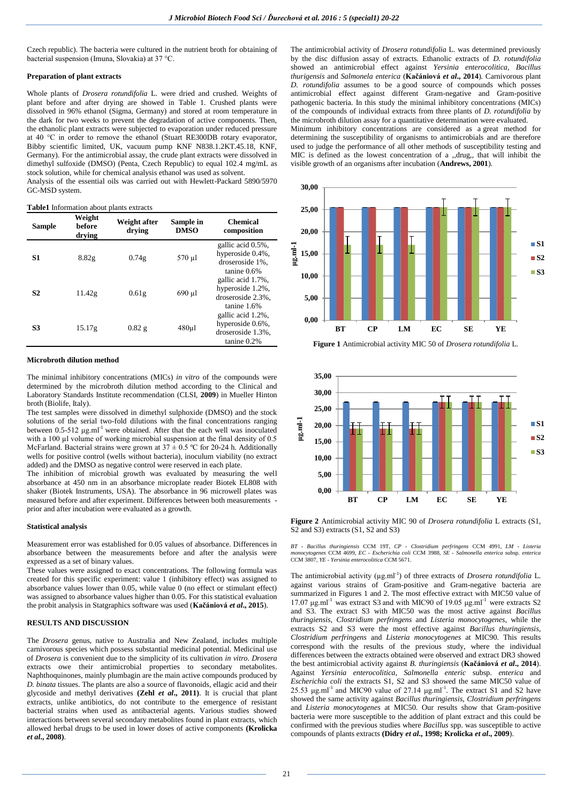Czech republic). The bacteria were cultured in the nutrient broth for obtaining of bacterial suspension (Imuna, Slovakia) at 37 °C.

#### **Preparation of plant extracts**

Whole plants of *Drosera rotundifolia* L. were dried and crushed. Weights of plant before and after drying are showed in Table 1. Crushed plants were dissolved in 96% ethanol (Sigma, Germany) and stored at room temperature in the dark for two weeks to prevent the degradation of active components. Then, the ethanolic plant extracts were subjected to evaporation under reduced pressure at 40 °C in order to remove the ethanol (Stuart RE300DB rotary evaporator, Bibby scientific limited, UK, vacuum pump KNF N838.1.2KT.45.18, KNF, Germany). For the antimicrobial assay, the crude plant extracts were dissolved in dimethyl sulfoxide (DMSO) (Penta, Czech Republic) to equal 102.4 mg/mL as stock solution, while for chemical analysis ethanol was used as solvent.

Analysis of the essential oils was carried out with Hewlett-Packard 5890/5970 GC-MSD system.

**Table1** Information about plants extracts

| Sample         | Weight<br>before<br>drying | Weight after<br>drying | Sample in<br><b>DMSO</b> | <b>Chemical</b><br>composition                                                |
|----------------|----------------------------|------------------------|--------------------------|-------------------------------------------------------------------------------|
| S1             | 8.82g                      | 0.74g                  | 570 µl                   | gallic acid 0.5%,<br>hyperoside 0.4%,<br>droseroside 1%.<br>$t$ anine $0.6\%$ |
| S <sub>2</sub> | 11.42g                     | 0.61g                  | 690 µl                   | gallic acid 1.7%,<br>hyperoside 1.2%,<br>droseroside 2.3%,<br>tanine 1.6%     |
| S3             | 15.17g                     | 0.82g                  | $480$ ul                 | gallic acid 1.2%,<br>hyperoside 0.6%,<br>droseroside 1.3%,<br>tanine 0.2%     |

#### **Microbroth dilution method**

The minimal inhibitory concentrations (MICs) *in vitro* of the compounds were determined by the microbroth dilution method according to the Clinical and Laboratory Standards Institute recommendation (CLSI, **2009**) in Mueller Hinton broth (Biolife, Italy).

The test samples were dissolved in dimethyl sulphoxide (DMSO) and the stock solutions of the serial two-fold dilutions with the final concentrations ranging between  $0.5-512 \mu g.$ ml<sup>-1</sup> were obtained. After that the each well was inoculated with a 100 µl volume of working microbial suspension at the final density of 0.5 McFarland. Bacterial strains were grown at  $37 \pm 0.5$  °C for 20-24 h. Additionally wells for positive control (wells without bacteria), inoculum viability (no extract added) and the DMSO as negative control were reserved in each plate.

The inhibition of microbial growth was evaluated by measuring the well absorbance at 450 nm in an absorbance microplate reader Biotek EL808 with shaker (Biotek Instruments, USA). The absorbance in 96 microwell plates was measured before and after experiment. Differences between both measurements prior and after incubation were evaluated as a growth.

#### **Statistical analysis**

Measurement error was established for 0.05 values of absorbance. Differences in absorbance between the measurements before and after the analysis were expressed as a set of binary values.

These values were assigned to exact concentrations. The following formula was created for this specific experiment: value 1 (inhibitory effect) was assigned to absorbance values lower than 0.05, while value 0 (no effect or stimulant effect) was assigned to absorbance values higher than 0.05. For this statistical evaluation the probit analysis in Statgraphics software was used (**Kačániová** *et al***., 2015**).

### **RESULTS AND DISCUSSION**

The *Drosera* genus, native to Australia and New Zealand, includes multiple carnivorous species which possess substantial medicinal potential. Medicinal use of *Drosera* is convenient due to the simplicity of its cultivation *in vitro*. *Drosera* extracts owe their antimicrobial properties to secondary metabolites. Naphthoquinones, mainly plumbagin are the main active compounds produced by *D. binata* tissues. The plants are also a source of flavonoids, ellagic acid and their glycoside and methyl derivatives **(Zehl** *et al***., 2011)**. It is crucial that plant extracts, unlike antibiotics, do not contribute to the emergence of resistant bacterial strains when used as antibacterial agents. Various studies showed interactions between several secondary metabolites found in plant extracts, which allowed herbal drugs to be used in lower doses of active components **(Krolicka**  *et al***., 2008)**.

The antimicrobial activity of *Drosera rotundifolia* L. was determined previously by the disc diffusion assay of extracts. Ethanolic extracts of *D. rotundifolia* showed an antimicrobial effect against *Yersinia enterocolitica, Bacillus thurigensis* and *Salmonela enterica* (**Kačániová** *et al***., 2014**)*.* Carnivorous plant *D. rotundifolia* assumes to be a good source of compounds which posses antimicrobial effect against different Gram-negative and Gram-positive pathogenic bacteria. In this study the minimal inhibitory concentrations (MICs) of the compounds of individual extracts from three plants of *D. rotundifolia* by the microbroth dilution assay for a quantitative determination were evaluated.

Minimum inhibitory concentrations are considered as a great method for determining the susceptibility of organisms to antimicrobials and are therefore used to judge the performance of all other methods of susceptibility testing and MIC is defined as the lowest concentration of a ,,drug,, that will inhibit the visible growth of an organisms after incubation (**Andrews, 2001**).



**Figure 1** Antimicrobial activity MIC 50 of *Drosera rotundifolia* L.



**Figure 2** Antimicrobial activity MIC 90 of *Drosera rotundifolia* L extracts (S1, S<sub>2</sub> and S<sub>3</sub>) extracts (S<sub>1</sub>, S<sub>2</sub> and S<sub>3</sub>)

BT - Bacillus thuringiensis CCM 19T, CP - Clostridium perfringens CCM 4991, LM - Listeria<br>monocytogenes CCM 4699, EC - Escherichia coli CCM 3988, SE - Salmonella enterica subsp. enterica<br>CCM 3807, YE - Yersinia enterocolit

The antimicrobial activity  $(\mu g.m)^{-1}$  of three extracts of *Drosera rotundifolia* L. against various strains of Gram-positive and Gram-negative bacteria are summarized in Figures 1 and 2. The most effective extract with MIC50 value of  $17.07 \mu$ g.ml<sup>-1</sup> was extract S3 and with MIC90 of 19.05 μg.ml<sup>-1</sup> were extracts S2 and S3. The extract S3 with MIC50 was the most active against *Bacillus thuringiensis, Clostridium perfringens* and *Listeria monocytogenes*, while the extracts S2 and S3 were the most effective against *Bacillus thuringiensis, Clostridium perfringens* and *Listeria monocytogenes* at MIC90*.* This results correspond with the results of the previous study, where the individual differences between the extracts obtained were observed and extract DR3 showed the best antimicrobial activity against *B. thuringiensis* (**Kačániová** *et al***., 2014**). Against *Yersinia enterocolitica, Salmonella enteric* subsp. *enterica* and *Escherichia coli* the extracts S1, S2 and S3 showed the same MIC50 value of 25.53  $\mu$ g.ml<sup>-1</sup> and MIC90 value of 27.14  $\mu$ g.ml<sup>-1</sup>. The extract S1 and S2 have showed the same activity against *Bacillus thuringiensis, Clostridium perfringens*  and *Listeria monocytogenes* at MIC50. Our results show that Gram-positive bacteria were more susceptible to the addition of plant extract and this could be confirmed with the previous studies where *Bacillus* spp. was susceptible to active compounds of plants extracts **(Didry** *et al***., 1998; Krolicka** *et al***., 2009**).